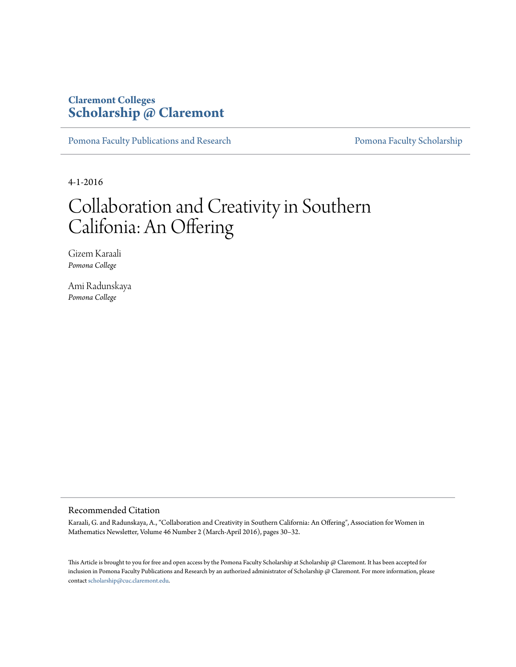## **Claremont Colleges [Scholarship @ Claremont](http://scholarship.claremont.edu)**

[Pomona Faculty Publications and Research](http://scholarship.claremont.edu/pomona_fac_pub) [Pomona Faculty Scholarship](http://scholarship.claremont.edu/pomona_faculty)

4-1-2016

# Collaboration and Creativity in Southern Califonia: An Offering

Gizem Karaali *Pomona College*

Ami Radunskaya *Pomona College*

#### Recommended Citation

Karaali, G. and Radunskaya, A., "Collaboration and Creativity in Southern California: An Offering", Association for Women in Mathematics Newsletter, Volume 46 Number 2 (March-April 2016), pages 30–32.

This Article is brought to you for free and open access by the Pomona Faculty Scholarship at Scholarship @ Claremont. It has been accepted for inclusion in Pomona Faculty Publications and Research by an authorized administrator of Scholarship @ Claremont. For more information, please contact [scholarship@cuc.claremont.edu](mailto:scholarship@cuc.claremont.edu).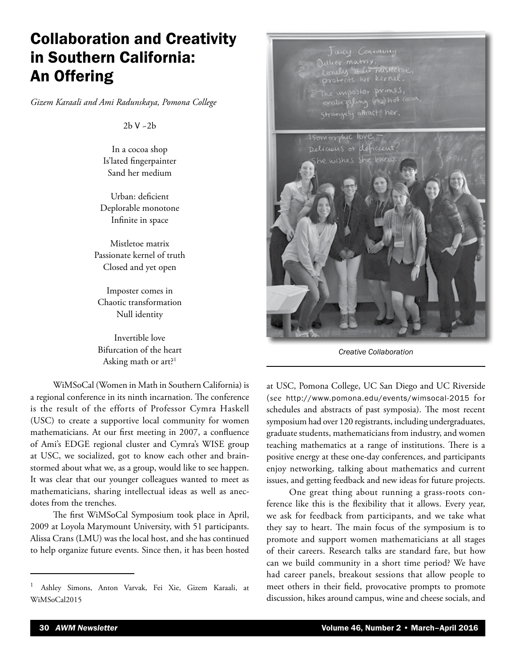## Collaboration and Creativity in Southern California: An Offering

*Gizem Karaali and Ami Radunskaya, Pomona College*

2b V ~2b

In a cocoa shop Is'lated fingerpainter Sand her medium

Urban: deficient Deplorable monotone Infinite in space

Mistletoe matrix Passionate kernel of truth Closed and yet open

Imposter comes in Chaotic transformation Null identity

Invertible love Bifurcation of the heart Asking math or art?<sup>1</sup>

WiMSoCal (Women in Math in Southern California) is a regional conference in its ninth incarnation. The conference is the result of the efforts of Professor Cymra Haskell (USC) to create a supportive local community for women mathematicians. At our first meeting in 2007, a confluence of Ami's EDGE regional cluster and Cymra's WISE group at USC, we socialized, got to know each other and brainstormed about what we, as a group, would like to see happen. It was clear that our younger colleagues wanted to meet as mathematicians, sharing intellectual ideas as well as anecdotes from the trenches.

The first WiMSoCal Symposium took place in April, 2009 at Loyola Marymount University, with 51 participants. Alissa Crans (LMU) was the local host, and she has continued to help organize future events. Since then, it has been hosted



*Creative Collaboration*

at USC, Pomona College, UC San Diego and UC Riverside (see <http://www.pomona.edu/events/wimsocal-2015> for schedules and abstracts of past symposia). The most recent symposium had over 120 registrants, including undergraduates, graduate students, mathematicians from industry, and women teaching mathematics at a range of institutions. There is a positive energy at these one-day conferences, and participants enjoy networking, talking about mathematics and current issues, and getting feedback and new ideas for future projects.

One great thing about running a grass-roots conference like this is the flexibility that it allows. Every year, we ask for feedback from participants, and we take what they say to heart. The main focus of the symposium is to promote and support women mathematicians at all stages of their careers. Research talks are standard fare, but how can we build community in a short time period? We have had career panels, breakout sessions that allow people to meet others in their field, provocative prompts to promote discussion, hikes around campus, wine and cheese socials, and

<sup>1</sup> Ashley Simons, Anton Varvak, Fei Xie, Gizem Karaali, at WiMSoCal2015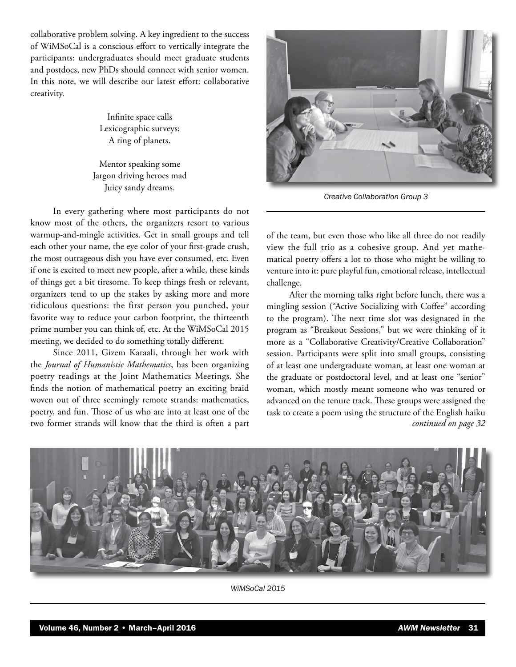collaborative problem solving. A key ingredient to the success of WiMSoCal is a conscious effort to vertically integrate the participants: undergraduates should meet graduate students and postdocs, new PhDs should connect with senior women. In this note, we will describe our latest effort: collaborative creativity.

> Infinite space calls Lexicographic surveys; A ring of planets.

Mentor speaking some Jargon driving heroes mad Juicy sandy dreams.

In every gathering where most participants do not know most of the others, the organizers resort to various warmup-and-mingle activities. Get in small groups and tell each other your name, the eye color of your first-grade crush, the most outrageous dish you have ever consumed, etc. Even if one is excited to meet new people, after a while, these kinds of things get a bit tiresome. To keep things fresh or relevant, organizers tend to up the stakes by asking more and more ridiculous questions: the first person you punched, your favorite way to reduce your carbon footprint, the thirteenth prime number you can think of, etc. At the WiMSoCal 2015 meeting, we decided to do something totally different.

Since 2011, Gizem Karaali, through her work with the *Journal of Humanistic Mathematics*, has been organizing poetry readings at the Joint Mathematics Meetings. She finds the notion of mathematical poetry an exciting braid woven out of three seemingly remote strands: mathematics, poetry, and fun. Those of us who are into at least one of the two former strands will know that the third is often a part



*Creative Collaboration Group 3*

of the team, but even those who like all three do not readily view the full trio as a cohesive group. And yet mathematical poetry offers a lot to those who might be willing to venture into it: pure playful fun, emotional release, intellectual challenge.

After the morning talks right before lunch, there was a mingling session ("Active Socializing with Coffee" according to the program). The next time slot was designated in the program as "Breakout Sessions," but we were thinking of it more as a "Collaborative Creativity/Creative Collaboration" session. Participants were split into small groups, consisting of at least one undergraduate woman, at least one woman at the graduate or postdoctoral level, and at least one "senior" woman, which mostly meant someone who was tenured or advanced on the tenure track. These groups were assigned the task to create a poem using the structure of the English haiku *continued on page 32*



*WiMSoCal 2015*